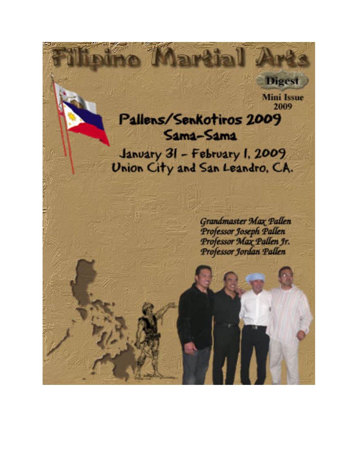

**Digest** 

# Pallens/Senkotiros 2009 Sama-Sama January 31 - February 1, 2009 Union City and San Leandro, CA.

**Grandmaster Max Pallen** Professor Joseph Pallen<br>Professor Max Pallen Jr. Professor Jordan Pallen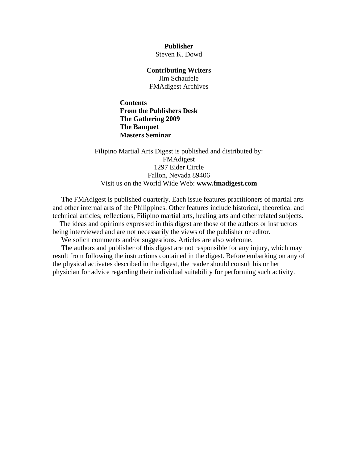**Publisher**  Steven K. Dowd

**Contributing Writers** 

Jim Schaufele FMAdigest Archives

**Contents [From the Publishers Desk](#page-2-0)  [The Gathering 2009](#page-3-0)  [The Banquet](#page-4-0)  [Masters Seminar](#page-8-0)**

Filipino Martial Arts Digest is published and distributed by: FMAdigest 1297 Eider Circle Fallon, Nevada 89406 Visit us on the World Wide Web: **[www.fmadigest.com](http://www.fmadigest.com/)**

 The FMAdigest is published quarterly. Each issue features practitioners of martial arts and other internal arts of the Philippines. Other features include historical, theoretical and technical articles; reflections, Filipino martial arts, healing arts and other related subjects.

 The ideas and opinions expressed in this digest are those of the authors or instructors being interviewed and are not necessarily the views of the publisher or editor.

We solicit comments and/or suggestions. Articles are also welcome.

 The authors and publisher of this digest are not responsible for any injury, which may result from following the instructions contained in the digest. Before embarking on any of the physical activates described in the digest, the reader should consult his or her physician for advice regarding their individual suitability for performing such activity.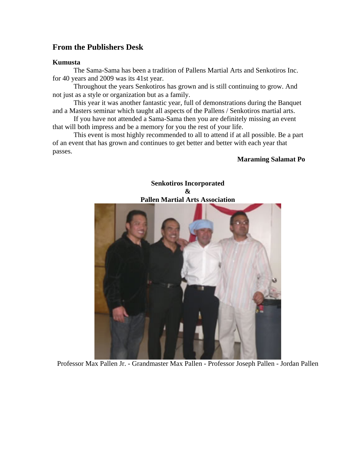## <span id="page-2-0"></span>**From the Publishers Desk**

#### **Kumusta**

The Sama-Sama has been a tradition of Pallens Martial Arts and Senkotiros Inc. for 40 years and 2009 was its 41st year.

Throughout the years Senkotiros has grown and is still continuing to grow. And not just as a style or organization but as a family.

This year it was another fantastic year, full of demonstrations during the Banquet and a Masters seminar which taught all aspects of the Pallens / Senkotiros martial arts.

If you have not attended a Sama-Sama then you are definitely missing an event that will both impress and be a memory for you the rest of your life.

This event is most highly recommended to all to attend if at all possible. Be a part of an event that has grown and continues to get better and better with each year that passes.

#### **Maraming Salamat Po**



Professor Max Pallen Jr. - Grandmaster Max Pallen - Professor Joseph Pallen - Jordan Pallen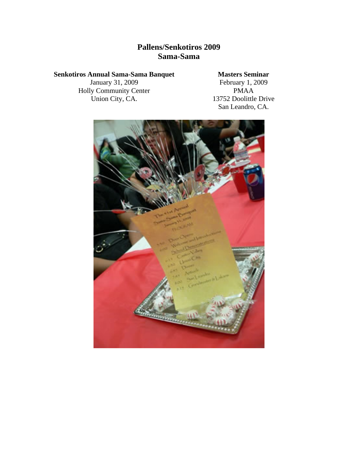# **Pallens/Senkotiros 2009 Sama-Sama**

#### <span id="page-3-0"></span>**Senkotiros Annual Sama-Sama Banquet**

January 31, 2009 Holly Community Center Union City, CA.

### **Masters Seminar**

February 1, 2009 PMAA 13752 Doolittle Drive San Leandro, CA.

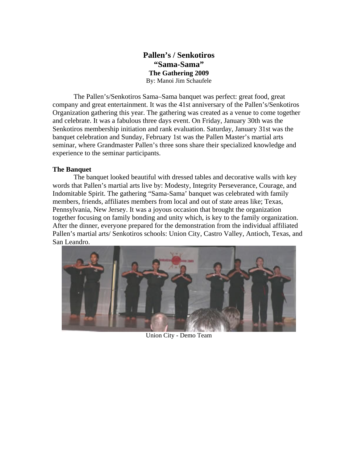#### **Pallen's / Senkotiros "Sama-Sama" The Gathering 2009**  By: Manoi Jim Schaufele

<span id="page-4-0"></span>The Pallen's/Senkotiros Sama–Sama banquet was perfect: great food, great company and great entertainment. It was the 41st anniversary of the Pallen's/Senkotiros Organization gathering this year. The gathering was created as a venue to come together and celebrate. It was a fabulous three days event. On Friday, January 30th was the Senkotiros membership initiation and rank evaluation. Saturday, January 31st was the banquet celebration and Sunday, February 1st was the Pallen Master's martial arts seminar, where Grandmaster Pallen's three sons share their specialized knowledge and experience to the seminar participants.

#### **The Banquet**

The banquet looked beautiful with dressed tables and decorative walls with key words that Pallen's martial arts live by: Modesty, Integrity Perseverance, Courage, and Indomitable Spirit. The gathering "Sama-Sama' banquet was celebrated with family members, friends, affiliates members from local and out of state areas like; Texas, Pennsylvania, New Jersey. It was a joyous occasion that brought the organization together focusing on family bonding and unity which, is key to the family organization. After the dinner, everyone prepared for the demonstration from the individual affiliated Pallen's martial arts/ Senkotiros schools: Union City, Castro Valley, Antioch, Texas, and San Leandro.



Union City - Demo Team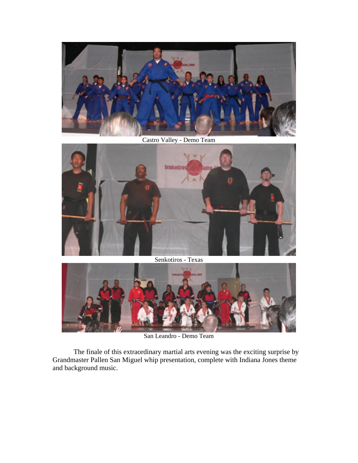

Castro Valley - Demo Team



Senkotiros - Texas



San Leandro - Demo Team

The finale of this extraordinary martial arts evening was the exciting surprise by Grandmaster Pallen San Miguel whip presentation, complete with Indiana Jones theme and background music.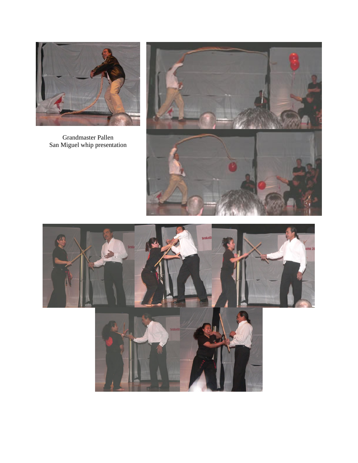

Grandmaster Pallen San Miguel whip presentation





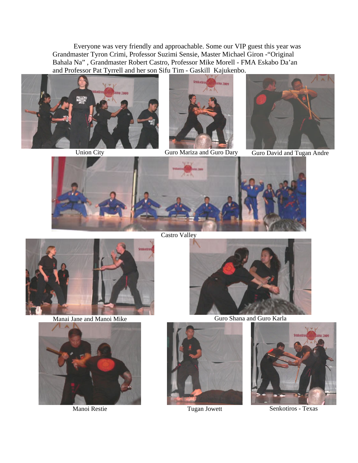Everyone was very friendly and approachable. Some our VIP guest this year was Grandmaster Tyron Crimi, Professor Suzimi Sensie, Master Michael Giron -"Original Bahala Na" , Grandmaster Robert Castro, Professor Mike Morell - FMA Eskabo Da'an and Professor Pat Tyrrell and her son Sifu Tim - Gaskill Kajukenbo.





Union City Guro Mariza and Guro Dary Guro David and Tugan Andre





Castro Valley







Manai Jane and Manoi Mike Guro Shana and Guro Karla





Manoi Restie Tugan Jowett Senkotiros - Texas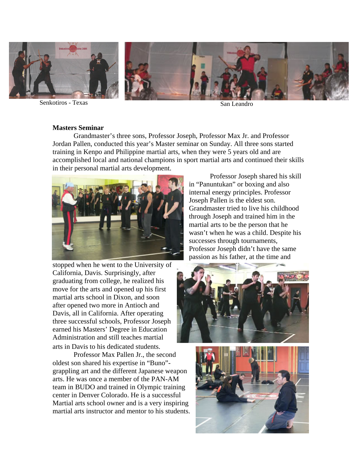<span id="page-8-0"></span>

Senkotiros - Texas San Leandro

#### **Masters Seminar**

Grandmaster's three sons, Professor Joseph, Professor Max Jr. and Professor Jordan Pallen, conducted this year's Master seminar on Sunday. All three sons started training in Kenpo and Philippine martial arts, when they were 5 years old and are accomplished local and national champions in sport martial arts and continued their skills in their personal martial arts development.



stopped when he went to the University o f California, Davis. Surprisingly, after graduating from college, he realized his move for the arts and opened up his first martial arts school in Dixon, and soon after opened two more in Antioch and Davis, all in California. After operating three successful schools, Professor Jos eph earned his Masters' Degree in Education Administration and still teaches martial arts in Davis to his d edicated students.

Professor Max Pallen Jr., the second oldest son shared his expertise in "Buno" grappling art and the different Japanese weapon arts. He was once a member of the PAN-AM team in BUDO and trained in Olympic training center in Denver Colorado. He is a successful Martial arts school owner and is a very inspiring martial arts instructor and mentor to his students.

Professor Joseph shared his skill in "Panuntukan" or boxing and also internal energy principles. Professor Joseph Pallen is the eldest son. Grandmaster tried to live his childhood through Joseph and trained him in the martial arts to be the person that he wasn't when he was a child. Despite his successes through tournaments, Professor Joseph didn't have the same passion as his father, at the time and



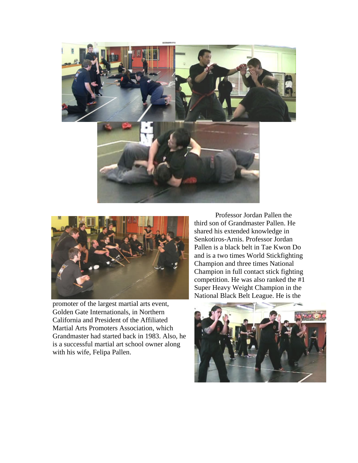



promoter of the largest martial arts event, Golden Gate Internationals, in Northern California and President of the Affiliated Martial Arts Promoters Association, which Grandmaster had started back in 1983. Also, h e is a successful martial art school owner along with his wife, F elipa Pallen.

Professor Jordan Pallen the third son of Grandmaster Pallen. He shared his extended knowledge in Senkotiros-Arnis. Professor Jordan Pallen is a black belt in Tae Kwon Do and is a two times World Stickfightin g Champion and three times National Champion in full contact stick fighting competition. He was also ranked the #1 Super Heavy Weight Champion in the National Black Belt League. He is the

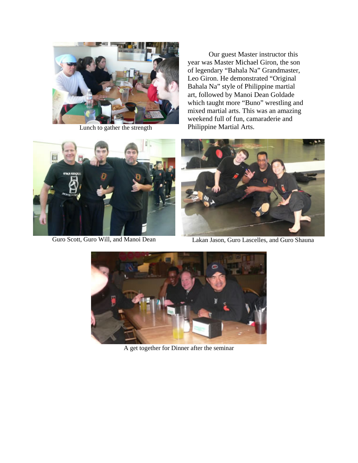

Lunch to gather the strength

Our guest Master instructor this year was Master Michael Giron, the son of legendary "Bahala Na" Grandmaster, Leo Giron. He demonstrated "Original Bahala Na" style of Philippine martial art, followed by Manoi Dean Goldade which taught more "Buno" wrestling and mixed martial arts. This was an amazing weekend full of fun, camaraderie and Philippine Martial Arts.





Guro Scott, Guro Will, and Manoi Dean Lakan Jason, Guro Lascelles, and Guro Shauna



A get together for Dinner after the seminar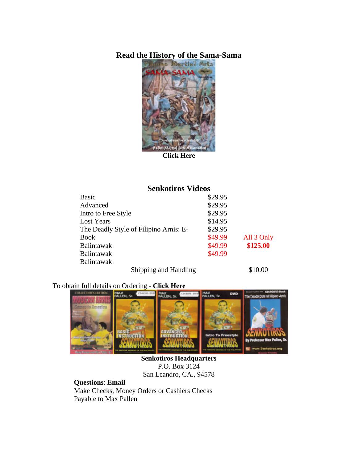### **Read the History of the Sama-Sama**



**[Click Here](http://www.fmadigest.com/Issues/special-issues/2009/Special-Issue_Sama-Sama.pdf)** 

## **Senkotiros Videos**

| <b>Basic</b>                           | \$29.95 |            |
|----------------------------------------|---------|------------|
| Advanced                               | \$29.95 |            |
| Intro to Free Style                    | \$29.95 |            |
| Lost Years                             | \$14.95 |            |
| The Deadly Style of Filipino Arnis: E- | \$29.95 |            |
| <b>Book</b>                            | \$49.99 | All 3 Only |
| <b>Balintawak</b>                      | \$49.99 | \$125.00   |
| <b>Balintawak</b>                      | \$49.99 |            |
| <b>Balintawak</b>                      |         |            |
| $\sim$ $\sim$<br>1 T T<br>11.          |         | 0.1000     |

Shipping and Handling \$10.00

# To obtain full details on Ordering - **[Click Here](http://www.senkotirosphilippines.com/Merchandise/products_main.html)**



**Senkotiros Headquarters**  P.O. Box 3124 San Leandro, CA., 94578

**Questions**: **[Email](mailto:professorpallen@yahoo.com)** Make Checks, Money Orders or Cashiers Checks Payable to Max Pallen